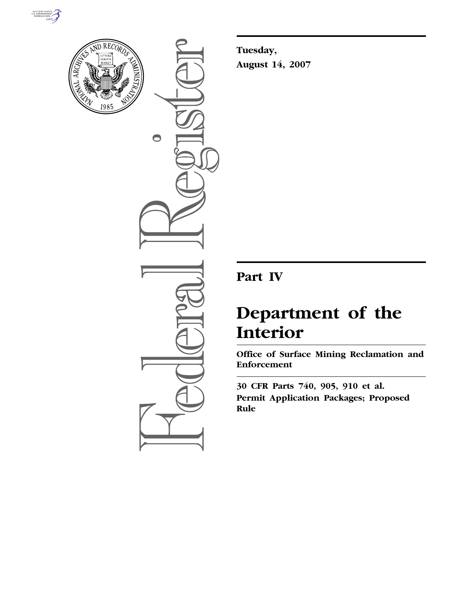



 $\bigcirc$ 

**Tuesday, August 14, 2007** 

## **Part IV**

# **Department of the Interior**

**Office of Surface Mining Reclamation and Enforcement** 

**30 CFR Parts 740, 905, 910 et al. Permit Application Packages; Proposed Rule**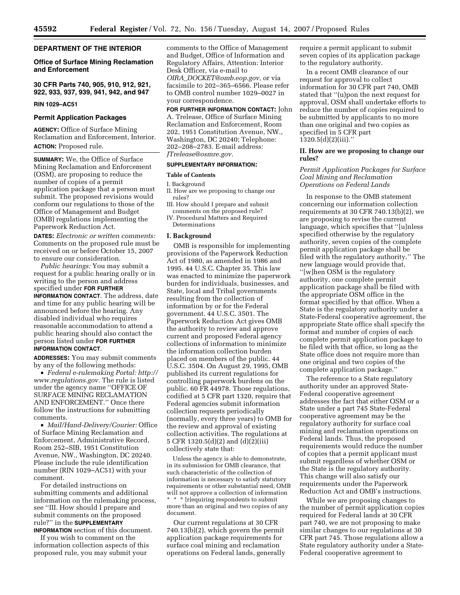## **DEPARTMENT OF THE INTERIOR**

## **Office of Surface Mining Reclamation and Enforcement**

**30 CFR Parts 740, 905, 910, 912, 921, 922, 933, 937, 939, 941, 942, and 947** 

#### **RIN 1029–AC51**

## **Permit Application Packages**

**AGENCY:** Office of Surface Mining Reclamation and Enforcement, Interior. **ACTION:** Proposed rule.

**SUMMARY:** We, the Office of Surface Mining Reclamation and Enforcement (OSM), are proposing to reduce the number of copies of a permit application package that a person must submit. The proposed revisions would conform our regulations to those of the Office of Management and Budget (OMB) regulations implementing the Paperwork Reduction Act.

**DATES:** *Electronic or written comments:*  Comments on the proposed rule must be received on or before October 15, 2007 to ensure our consideration.

*Public hearings:* You may submit a request for a public hearing orally or in writing to the person and address specified under **FOR FURTHER INFORMATION CONTACT**. The address, date and time for any public hearing will be announced before the hearing. Any disabled individual who requires reasonable accommodation to attend a public hearing should also contact the person listed under **FOR FURTHER INFORMATION CONTACT**.

**ADDRESSES:** You may submit comments by any of the following methods:

• *Federal e-rulemaking Portal: http:// www.regulations.gov.* The rule is listed under the agency name ''OFFICE OF SURFACE MINING RECLAMATION AND ENFORCEMENT.'' Once there follow the instructions for submitting comments.

• *Mail/Hand-Delivery/Courier:* Office of Surface Mining Reclamation and Enforcement, Administrative Record, Room 252–SIB, 1951 Constitution Avenue, NW., Washington, DC 20240. Please include the rule identification number (RIN 1029–AC51) with your comment.

For detailed instructions on submitting comments and additional information on the rulemaking process, see ''III. How should I prepare and submit comments on the proposed rule?'' in the **SUPPLEMENTARY INFORMATION** section of this document.

If you wish to comment on the information collection aspects of this proposed rule, you may submit your

comments to the Office of Management and Budget, Office of Information and Regulatory Affairs, Attention: Interior Desk Officer, via e-mail to *OIRA*\_*DOCKET@omb.eop.gov*, or via facsimile to 202–365–6566. Please refer to OMB control number 1029–0027 in your correspondence.

**FOR FURTHER INFORMATION CONTACT:** John A. Trelease, Office of Surface Mining Reclamation and Enforcement, Room 202, 1951 Constitution Avenue, NW., Washington, DC 20240; Telephone: 202–208–2783. E-mail address: *JTrelease@osmre.gov.* 

## **SUPPLEMENTARY INFORMATION:**

#### **Table of Contents**

I. Background

- II. How are we proposing to change our rules?
- III. How should I prepare and submit comments on the proposed rule? IV. Procedural Matters and Required
- Determinations

## **I. Background**

OMB is responsible for implementing provisions of the Paperwork Reduction Act of 1980, as amended in 1986 and 1995. 44 U.S.C. Chapter 35. This law was enacted to minimize the paperwork burden for individuals, businesses, and State, local and Tribal governments resulting from the collection of information by or for the Federal government. 44 U.S.C. 3501. The Paperwork Reduction Act gives OMB the authority to review and approve current and proposed Federal agency collections of information to minimize the information collection burden placed on members of the public. 44 U.S.C. 3504. On August 29, 1995, OMB published its current regulations for controlling paperwork burdens on the public. 60 FR 44978. Those regulations, codified at 5 CFR part 1320, require that Federal agencies submit information collection requests periodically (normally, every three years) to OMB for the review and approval of existing collection activities. The regulations at 5 CFR 1320.5(d)(2) and (d)(2)(iii) collectively state that:

Unless the agency is able to demonstrate, in its submission for OMB clearance, that such characteristic of the collection of information is necessary to satisfy statutory requirements or other substantial need, OMB will not approve a collection of information \* \* \* [r]equiring respondents to submit more than an original and two copies of any document.

Our current regulations at 30 CFR 740.13(b)(2), which govern the permit application package requirements for surface coal mining and reclamation operations on Federal lands, generally require a permit applicant to submit seven copies of its application package to the regulatory authority.

In a recent OMB clearance of our request for approval to collect information for 30 CFR part 740, OMB stated that ''(u)pon the next request for approval, OSM shall undertake efforts to reduce the number of copies required to be submitted by applicants to no more than one original and two copies as specified in 5 CFR part  $1320.5(d)(2)(iii)$ ."

## **II. How are we proposing to change our rules?**

*Permit Application Packages for Surface Coal Mining and Reclamation Operations on Federal Lands* 

In response to the OMB statement concerning our information collection requirements at 30 CFR 740.13(b)(2), we are proposing to revise the current language, which specifies that ''[u]nless specified otherwise by the regulatory authority, seven copies of the complete permit application package shall be filed with the regulatory authority.'' The new language would provide that, ''[w]hen OSM is the regulatory authority, one complete permit application package shall be filed with the appropriate OSM office in the format specified by that office. When a State is the regulatory authority under a State-Federal cooperative agreement, the appropriate State office shall specify the format and number of copies of each complete permit application package to be filed with that office, so long as the State office does not require more than one original and two copies of the complete application package.''

The reference to a State regulatory authority under an approved State-Federal cooperative agreement addresses the fact that either OSM or a State under a part 745 State-Federal cooperative agreement may be the regulatory authority for surface coal mining and reclamation operations on Federal lands. Thus, the proposed requirements would reduce the number of copies that a permit applicant must submit regardless of whether OSM or the State is the regulatory authority. This change will also satisfy our requirements under the Paperwork Reduction Act and OMB's instructions.

While we are proposing changes to the number of permit application copies required for Federal lands at 30 CFR part 740, we are not proposing to make similar changes to our regulations at 30 CFR part 745. Those regulations allow a State regulatory authority under a State-Federal cooperative agreement to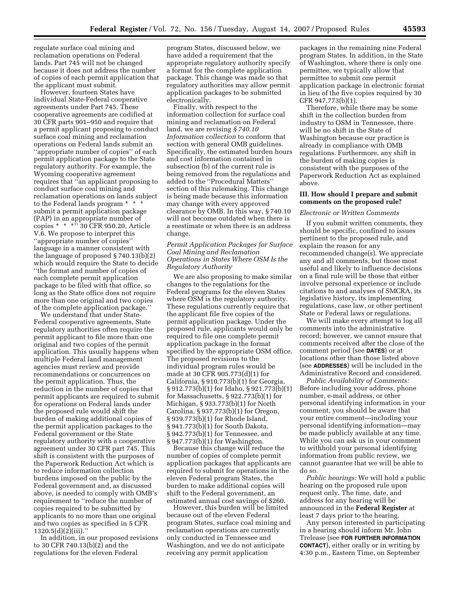regulate surface coal mining and reclamation operations on Federal lands. Part 745 will not be changed because it does not address the number of copies of each permit application that the applicant must submit.

However, fourteen States have individual State-Federal cooperative agreements under Part 745. These cooperative agreements are codified at 30 CFR parts 901–950 and require that a permit applicant proposing to conduct surface coal mining and reclamation operations on Federal lands submit an ''appropriate number of copies'' of each permit application package to the State regulatory authority. For example, the Wyoming cooperative agreement requires that ''an applicant proposing to conduct surface coal mining and reclamation operations on lands subject to the Federal lands program \* \* \* submit a permit application package (PAP) in an appropriate number of copies \* \* \*'' 30 CFR 950.20, Article V.6. We propose to interpret this ''appropriate number of copies'' language in a manner consistent with the language of proposed § 740.13(b)(2) which would require the State to decide ''the format and number of copies of each complete permit application package to be filed with that office, so long as the State office does not require more than one original and two copies of the complete application package.''

We understand that under State-Federal cooperative agreements, State regulatory authorities often require the permit applicant to file more than one original and two copies of the permit application. This usually happens when multiple Federal land management agencies must review and provide recommendations or concurrences on the permit application. Thus, the reduction in the number of copies that permit applicants are required to submit for operations on Federal lands under the proposed rule would shift the burden of making additional copies of the permit application packages to the Federal government or the State regulatory authority with a cooperative agreement under 30 CFR part 745. This shift is consistent with the purposes of the Paperwork Reduction Act which is to reduce information collection burdens imposed on the public by the Federal government and, as discussed above, is needed to comply with OMB's requirement to ''reduce the number of copies required to be submitted by applicants to no more than one original and two copies as specified in 5 CFR  $1320.5(d)(2)(iii)$ ."

In addition, in our proposed revisions to 30 CFR 740.13(b)(2) and the regulations for the eleven Federal

program States, discussed below, we have added a requirement that the appropriate regulatory authority specify a format for the complete application package. This change was made so that regulatory authorities may allow permit application packages to be submitted electronically.

Finally, with respect to the information collection for surface coal mining and reclamation on Federal land, we are revising *§ 740.10 Information collection* to conform that section with general OMB guidelines. Specifically, the estimated burden hours and cost information contained in subsection (b) of the current rule is being removed from the regulations and added to the ''Procedural Matters'' section of this rulemaking. This change is being made because this information may change with every approved clearance by OMB. In this way, § 740.10 will not become outdated when there is a reestimate or when there is an address change.

## *Permit Application Packages for Surface Coal Mining and Reclamation Operations in States Where OSM Is the Regulatory Authority*

We are also proposing to make similar changes to the regulations for the Federal programs for the eleven States where OSM is the regulatory authority. These regulations currently require that the applicant file five copies of the permit application package. Under the proposed rule, applicants would only be required to file one complete permit application package in the format specified by the appropriate OSM office. The proposed revisions to the individual program rules would be made at 30 CFR 905.773(d)(1) for California, § 910.773(b)(1) for Georgia, § 912.773(b)(1) for Idaho, § 921.773(b)(1) for Massachusetts, § 922.773(b)(1) for Michigan, § 933.773(b)(1) for North Carolina, § 937.773(b)(1) for Oregon, § 939.773(b)(1) for Rhode Island, § 941.773(b)(1) for South Dakota, § 942.773(b)(1) for Tennessee, and § 947.773(b)(1) for Washington.

Because this change will reduce the number of copies of complete permit application packages that applicants are required to submit for operations in the eleven Federal program States, the burden to make additional copies will shift to the Federal government, an estimated annual cost savings of \$260.

However, this burden will be limited because out of the eleven Federal program States, surface coal mining and reclamation operations are currently only conducted in Tennessee and Washington, and we do not anticipate receiving any permit application

packages in the remaining nine Federal program States. In addition, in the State of Washington, where there is only one permittee, we typically allow that permittee to submit one permit application package in electronic format in lieu of the five copies required by 30 CFR 947.773(b)(1).

Therefore, while there may be some shift in the collection burden from industry to OSM in Tennessee, there will be no shift in the State of Washington because our practice is already in compliance with OMB regulations. Furthermore, any shift in the burden of making copies is consistent with the purposes of the Paperwork Reduction Act as explained above.

## **III. How should I prepare and submit comments on the proposed rule?**

#### *Electronic or Written Comments*

If you submit written comments, they should be specific, confined to issues pertinent to the proposed rule, and explain the reason for any recommended change(s). We appreciate any and all comments, but those most useful and likely to influence decisions on a final rule will be those that either involve personal experience or include citations to and analyses of SMCRA, its legislative history, its implementing regulations, case law, or other pertinent State or Federal laws or regulations.

We will make every attempt to log all comments into the administrative record; however, we cannot ensure that comments received after the close of the comment period (see **DATES**) or at locations other than those listed above (see **ADDRESSES**) will be included in the Administrative Record and considered.

*Public Availability of Comments:*  Before including your address, phone number, e-mail address, or other personal identifying information in your comment, you should be aware that your entire comment—including your personal identifying information—may be made publicly available at any time. While you can ask us in your comment to withhold your personal identifying information from public review, we cannot guarantee that we will be able to do so.

*Public hearings:* We will hold a public hearing on the proposed rule upon request only. The time, date, and address for any hearing will be announced in the **Federal Register** at least 7 days prior to the hearing.

Any person interested in participating in a hearing should inform Mr. John Trelease (see **FOR FURTHER INFORMATION CONTACT**), either orally or in writing by 4:30 p.m., Eastern Time, on September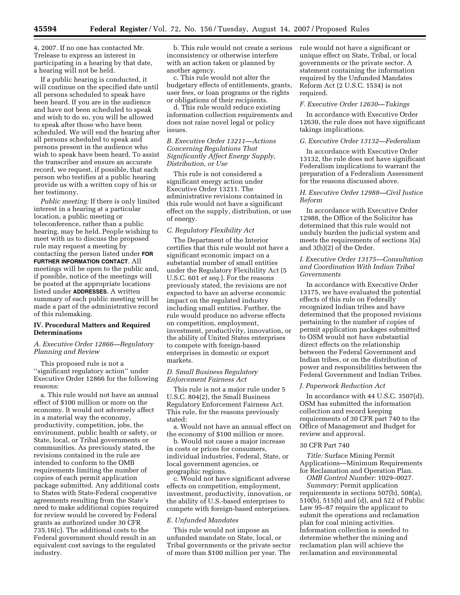4, 2007. If no one has contacted Mr. Trelease to express an interest in participating in a hearing by that date, a hearing will not be held.

If a public hearing is conducted, it will continue on the specified date until all persons scheduled to speak have been heard. If you are in the audience and have not been scheduled to speak and wish to do so, you will be allowed to speak after those who have been scheduled. We will end the hearing after all persons scheduled to speak and persons present in the audience who wish to speak have been heard. To assist the transcriber and ensure an accurate record, we request, if possible, that each person who testifies at a public hearing provide us with a written copy of his or her testimony.

*Public meeting:* If there is only limited interest in a hearing at a particular location, a public meeting or teleconference, rather than a public hearing, may be held. People wishing to meet with us to discuss the proposed rule may request a meeting by contacting the person listed under **FOR FURTHER INFORMATION CONTACT**. All meetings will be open to the public and, if possible, notice of the meetings will be posted at the appropriate locations listed under **ADDRESSES**. A written summary of each public meeting will be made a part of the administrative record of this rulemaking.

## **IV. Procedural Matters and Required Determinations**

## *A. Executive Order 12866—Regulatory Planning and Review*

This proposed rule is not a ''significant regulatory action'' under Executive Order 12866 for the following reasons:

a. This rule would not have an annual effect of \$100 million or more on the economy. It would not adversely affect in a material way the economy, productivity, competition, jobs, the environment, public health or safety, or State, local, or Tribal governments or communities. As previously stated, the revisions contained in the rule are intended to conform to the OMB requirements limiting the number of copies of each permit application package submitted. Any additional costs to States with State-Federal cooperative agreements resulting from the State's need to make additional copies required for review would be covered by Federal grants as authorized under 30 CFR 735.16(c). The additional costs to the Federal government should result in an equivalent cost savings to the regulated industry.

b. This rule would not create a serious inconsistency or otherwise interfere with an action taken or planned by another agency.

c. This rule would not alter the budgetary effects of entitlements, grants, user fees, or loan programs or the rights or obligations of their recipients.

d. This rule would reduce existing information collection requirements and does not raise novel legal or policy issues.

*B. Executive Order 13211—Actions Concerning Regulations That Significantly Affect Energy Supply, Distribution, or Use* 

This rule is not considered a significant energy action under Executive Order 13211. The administrative revisions contained in this rule would not have a significant effect on the supply, distribution, or use of energy.

## *C. Regulatory Flexibility Act*

The Department of the Interior certifies that this rule would not have a significant economic impact on a substantial number of small entities under the Regulatory Flexibility Act (5 U.S.C. 601 *et seq.*). For the reasons previously stated, the revisions are not expected to have an adverse economic impact on the regulated industry including small entities. Further, the rule would produce no adverse effects on competition, employment, investment, productivity, innovation, or the ability of United States enterprises to compete with foreign-based enterprises in domestic or export markets.

## *D. Small Business Regulatory Enforcement Fairness Act*

This rule is not a major rule under 5 U.S.C. 804(2), the Small Business Regulatory Enforcement Fairness Act. This rule, for the reasons previously stated:

a. Would not have an annual effect on the economy of \$100 million or more.

b. Would not cause a major increase in costs or prices for consumers, individual industries, Federal, State, or local government agencies, or geographic regions.

c. Would not have significant adverse effects on competition, employment, investment, productivity, innovation, or the ability of U.S.-based enterprises to compete with foreign-based enterprises.

#### *E. Unfunded Mandates*

This rule would not impose an unfunded mandate on State, local, or Tribal governments or the private sector of more than \$100 million per year. The rule would not have a significant or unique effect on State, Tribal, or local governments or the private sector. A statement containing the information required by the Unfunded Mandates Reform Act (2 U.S.C. 1534) is not required.

#### *F. Executive Order 12630—Takings*

In accordance with Executive Order 12630, the rule does not have significant takings implications.

## *G. Executive Order 13132—Federalism*

In accordance with Executive Order 13132, the rule does not have significant Federalism implications to warrant the preparation of a Federalism Assessment for the reasons discussed above.

## *H. Executive Order 12988—Civil Justice Reform*

In accordance with Executive Order 12988, the Office of the Solicitor has determined that this rule would not unduly burden the judicial system and meets the requirements of sections 3(a) and 3(b)(2) of the Order.

## *I. Executive Order 13175—Consultation and Coordination With Indian Tribal Governments*

In accordance with Executive Order 13175, we have evaluated the potential effects of this rule on Federally recognized Indian tribes and have determined that the proposed revisions pertaining to the number of copies of permit application packages submitted to OSM would not have substantial direct effects on the relationship between the Federal Government and Indian tribes, or on the distribution of power and responsibilities between the Federal Government and Indian Tribes.

#### *J. Paperwork Reduction Act*

In accordance with 44 U.S.C. 3507(d), OSM has submitted the information collection and record keeping requirements of 30 CFR part 740 to the Office of Management and Budget for review and approval.

#### 30 CFR Part 740

*Title:* Surface Mining Permit Applications—Minimum Requirements for Reclamation and Operation Plan.

*OMB Control Number:* 1029–0027. *Summary:* Permit application requirements in sections 507(b), 508(a), 510(b), 515(b) and (d), and 522 of Public Law 95–87 require the applicant to submit the operations and reclamation plan for coal mining activities. Information collection is needed to determine whether the mining and reclamation plan will achieve the reclamation and environmental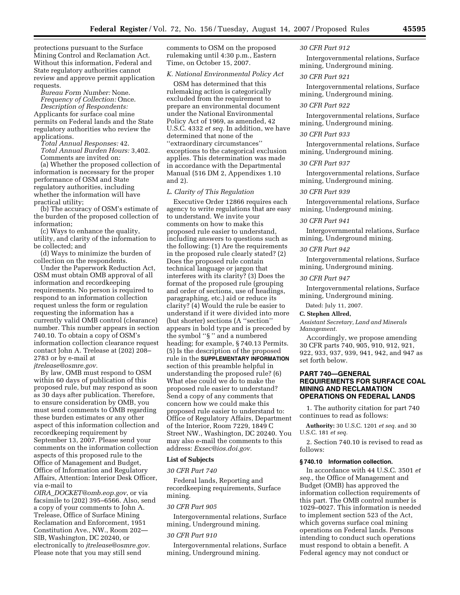protections pursuant to the Surface Mining Control and Reclamation Act. Without this information, Federal and State regulatory authorities cannot review and approve permit application requests.

*Bureau Form Number:* None. *Frequency of Collection:* Once. *Description of Respondents:*  Applicants for surface coal mine permits on Federal lands and the State regulatory authorities who review the applications.

*Total Annual Responses:* 42. *Total Annual Burden Hours:* 3,402. Comments are invited on:

(a) Whether the proposed collection of information is necessary for the proper performance of OSM and State regulatory authorities, including whether the information will have practical utility;

(b) The accuracy of OSM's estimate of the burden of the proposed collection of information;

(c) Ways to enhance the quality, utility, and clarity of the information to be collected; and

(d) Ways to minimize the burden of collection on the respondents.

Under the Paperwork Reduction Act, OSM must obtain OMB approval of all information and recordkeeping requirements. No person is required to respond to an information collection request unless the form or regulation requesting the information has a currently valid OMB control (clearance) number. This number appears in section 740.10. To obtain a copy of OSM's information collection clearance request contact John A. Trelease at (202) 208– 2783 or by e-mail at

*jtrelease@osmre.gov.* 

By law, OMB must respond to OSM within 60 days of publication of this proposed rule, but may respond as soon as 30 days after publication. Therefore, to ensure consideration by OMB, you must send comments to OMB regarding these burden estimates or any other aspect of this information collection and recordkeeping requirement by September 13, 2007. Please send your comments on the information collection aspects of this proposed rule to the Office of Management and Budget, Office of Information and Regulatory Affairs, Attention: Interior Desk Officer, via e-mail to

*OIRA*\_*DOCKET@omb.eop.gov*, or via facsimile to (202) 395–6566. Also, send a copy of your comments to John A. Trelease, Office of Surface Mining Reclamation and Enforcement, 1951 Constitution Ave., NW., Room 202— SIB, Washington, DC 20240, or electronically to *jtrelease@osmre.gov.*  Please note that you may still send

comments to OSM on the proposed rulemaking until 4:30 p.m., Eastern Time, on October 15, 2007.

## *K. National Environmental Policy Act*

OSM has determined that this rulemaking action is categorically excluded from the requirement to prepare an environmental document under the National Environmental Policy Act of 1969, as amended, 42 U.S.C. 4332 *et seq.* In addition, we have determined that none of the ''extraordinary circumstances'' exceptions to the categorical exclusion applies. This determination was made in accordance with the Departmental Manual (516 DM 2, Appendixes 1.10 and 2).

#### *L. Clarity of This Regulation*

Executive Order 12866 requires each agency to write regulations that are easy to understand. We invite your comments on how to make this proposed rule easier to understand, including answers to questions such as the following: (1) Are the requirements in the proposed rule clearly stated? (2) Does the proposed rule contain technical language or jargon that interferes with its clarity? (3) Does the format of the proposed rule (grouping and order of sections, use of headings, paragraphing, etc.) aid or reduce its clarity? (4) Would the rule be easier to understand if it were divided into more (but shorter) sections (A ''section'' appears in bold type and is preceded by the symbol ''§ '' and a numbered heading; for example, § 740.13 Permits. (5) Is the description of the proposed rule in the **SUPPLEMENTARY INFORMATION** section of this preamble helpful in understanding the proposed rule? (6) What else could we do to make the proposed rule easier to understand? Send a copy of any comments that concern how we could make this proposed rule easier to understand to: Office of Regulatory Affairs, Department of the Interior, Room 7229, 1849 C Street NW., Washington, DC 20240. You may also e-mail the comments to this address: *Exsec@ios.doi.gov.* 

## **List of Subjects**

#### *30 CFR Part 740*

Federal lands, Reporting and recordkeeping requirements, Surface mining.

#### *30 CFR Part 905*

Intergovernmental relations, Surface mining, Underground mining.

#### *30 CFR Part 910*

Intergovernmental relations, Surface mining, Underground mining.

#### *30 CFR Part 912*

Intergovernmental relations, Surface mining, Underground mining.

#### *30 CFR Part 921*

Intergovernmental relations, Surface mining, Underground mining.

## *30 CFR Part 922*

Intergovernmental relations, Surface mining, Underground mining.

#### *30 CFR Part 933*

Intergovernmental relations, Surface mining, Underground mining.

#### *30 CFR Part 937*

Intergovernmental relations, Surface mining, Underground mining.

#### *30 CFR Part 939*

Intergovernmental relations, Surface mining, Underground mining.

#### *30 CFR Part 941*

Intergovernmental relations, Surface mining, Underground mining.

#### *30 CFR Part 942*

Intergovernmental relations, Surface mining, Underground mining.

## *30 CFR Part 947*

Intergovernmental relations, Surface mining, Underground mining.

Dated: July 11, 2007.

#### **C. Stephen Allred,**

*Assistant Secretary, Land and Minerals Management.* 

Accordingly, we propose amending 30 CFR parts 740, 905, 910, 912, 921, 922, 933, 937, 939, 941, 942, and 947 as set forth below.

## **PART 740—GENERAL REQUIREMENTS FOR SURFACE COAL MINING AND RECLAMATION OPERATIONS ON FEDERAL LANDS**

1. The authority citation for part 740 continues to read as follows:

**Authority:** 30 U.S.C. 1201 *et seq.* and 30 U.S.C. 181 *et seq.* 

2. Section 740.10 is revised to read as follows:

## **§ 740.10 Information collection.**

In accordance with 44 U.S.C. 3501 *et seq.*, the Office of Management and Budget (OMB) has approved the information collection requirements of this part. The OMB control number is 1029–0027. This information is needed to implement section 523 of the Act, which governs surface coal mining operations on Federal lands. Persons intending to conduct such operations must respond to obtain a benefit. A Federal agency may not conduct or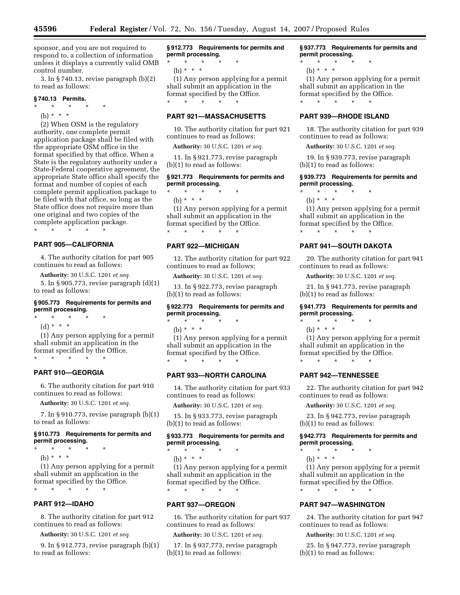sponsor, and you are not required to respond to, a collection of information unless it displays a currently valid OMB control number.

3. In § 740.13, revise paragraph (b)(2) to read as follows:

## **§ 740.13 Permits.**

- $\star$   $\star$   $\star$
- (b) \* \* \*

(2) When OSM is the regulatory authority, one complete permit application package shall be filed with the appropriate OSM office in the format specified by that office. When a State is the regulatory authority under a State-Federal cooperative agreement, the appropriate State office shall specify the format and number of copies of each complete permit application package to be filed with that office, so long as the State office does not require more than one original and two copies of the complete application package. \* \* \* \* \*

## **PART 905—CALIFORNIA**

4. The authority citation for part 905 continues to read as follows:

**Authority:** 30 U.S.C. 1201 *et seq.* 

5. In § 905.773, revise paragraph (d)(1) to read as follows:

## **§ 905.773 Requirements for permits and permit processing.**

- \* \* \* \* \*
	- (d) \* \* \*

(1) Any person applying for a permit shall submit an application in the format specified by the Office. \* \* \* \* \*

## **PART 910—GEORGIA**

6. The authority citation for part 910 continues to read as follows:

**Authority:** 30 U.S.C. 1201 *et seq.* 

7. In § 910.773, revise paragraph (b)(1) to read as follows:

## **§ 910.773 Requirements for permits and permit processing.**

- $\star$   $\star$
- (b) \* \* \*

(1) Any person applying for a permit shall submit an application in the format specified by the Office.

\* \* \* \* \*

## **PART 912—IDAHO**

8. The authority citation for part 912 continues to read as follows:

**Authority:** 30 U.S.C. 1201 *et seq.* 

9. In § 912.773, revise paragraph (b)(1) to read as follows:

**§ 912.773 Requirements for permits and permit processing.** 

\* \* \* \* \* (b) \* \* \*

(1) Any person applying for a permit shall submit an application in the format specified by the Office. \* \* \* \* \*

## **PART 921—MASSACHUSETTS**

10. The authority citation for part 921 continues to read as follows:

**Authority:** 30 U.S.C. 1201 *et seq.* 

11. In § 921.773, revise paragraph (b)(1) to read as follows:

## **§ 921.773 Requirements for permits and permit processing.**

 $\star$   $\star$ (b)  $* * * *$ (1) Any person applying for a permit shall submit an application in the

format specified by the Office. \* \* \* \* \*

## **PART 922—MICHIGAN**

12. The authority citation for part 922 continues to read as follows:

**Authority:** 30 U.S.C. 1201 *et seq.* 

13. In § 922.773, revise paragraph (b)(1) to read as follows:

## **§ 922.773 Requirements for permits and permit processing.**

\* \* \* \* \* (b) \* \* \*

(1) Any person applying for a permit shall submit an application in the format specified by the Office. \* \* \* \* \*

## **PART 933—NORTH CAROLINA**

14. The authority citation for part 933 continues to read as follows:

**Authority:** 30 U.S.C. 1201 *et seq.* 

15. In § 933.773, revise paragraph (b)(1) to read as follows:

## **§ 933.773 Requirements for permits and permit processing.**

\* \* \* \* \* (b) \* \* \*

(1) Any person applying for a permit shall submit an application in the format specified by the Office. \* \* \* \* \*

## **PART 937—OREGON**

16. The authority citation for part 937 continues to read as follows:

**Authority:** 30 U.S.C. 1201 *et seq.* 

17. In § 937.773, revise paragraph (b)(1) to read as follows:

## **§ 937.773 Requirements for permits and permit processing.**

- \* \* \* \* \*
	- (b) \* \* \*

(1) Any person applying for a permit shall submit an application in the format specified by the Office. \* \* \* \* \*

## **PART 939—RHODE ISLAND**

18. The authority citation for part 939 continues to read as follows:

**Authority:** 30 U.S.C. 1201 *et seq.* 

19. In § 939.773, revise paragraph (b)(1) to read as follows:

## **§ 939.773 Requirements for permits and permit processing.**

\* \* \* \* \* (b)  $* * * *$ 

(1) Any person applying for a permit shall submit an application in the format specified by the Office.

## **PART 941—SOUTH DAKOTA**

\* \* \* \* \*

20. The authority citation for part 941 continues to read as follows:

**Authority:** 30 U.S.C. 1201 *et seq.* 

21. In § 941.773, revise paragraph (b)(1) to read as follows:

## **§ 941.773 Requirements for permits and permit processing.**

- \* \* \* \* \*
	- (b) \* \* \*

(1) Any person applying for a permit shall submit an application in the format specified by the Office. \* \* \* \* \*

## **PART 942—TENNESSEE**

22. The authority citation for part 942 continues to read as follows:

**Authority:** 30 U.S.C. 1201 *et seq.* 

23. In § 942.773, revise paragraph (b)(1) to read as follows:

**§ 942.773 Requirements for permits and permit processing.** 

- \* \* \* \* \*
	- (b) \* \* \*

(1) Any person applying for a permit shall submit an application in the format specified by the Office. \* \* \* \* \*

## **PART 947—WASHINGTON**

24. The authority citation for part 947 continues to read as follows:

**Authority:** 30 U.S.C. 1201 *et seq.* 

25. In § 947.773, revise paragraph (b)(1) to read as follows: